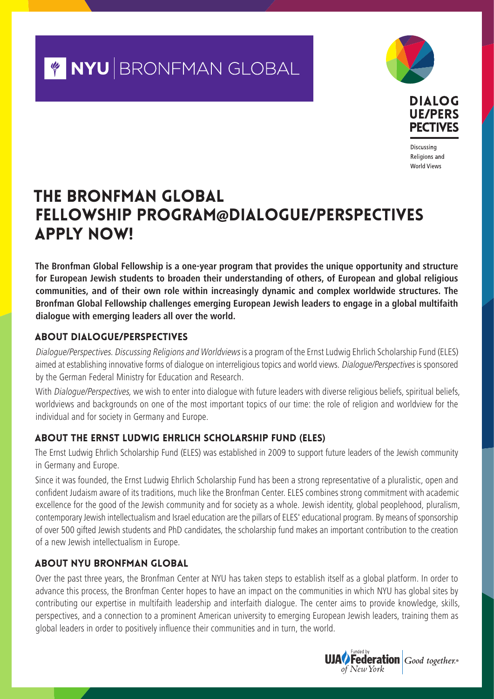## Y NYU BRONFMAN GLOBAL





Discussing Religions and **World Views** 

### The Bronfman Global Fellowship Program@Dialogue/Perspectives APPLY NOW!

**The Bronfman Global Fellowship is a one-year program that provides the unique opportunity and structure for European Jewish students to broaden their understanding of others, of European and global religious communities, and of their own role within increasingly dynamic and complex worldwide structures. The Bronfman Global Fellowship challenges emerging European Jewish leaders to engage in a global multifaith dialogue with emerging leaders all over the world.**

#### About Dialogue/Perspectives

Dialogue/Perspectives. Discussing Religions and Worldviews is a program of the Ernst Ludwig Ehrlich Scholarship Fund (ELES) aimed at establishing innovative forms of dialogue on interreligious topics and world views. Dialogue/Perspectives is sponsored by the German Federal Ministry for Education and Research.

With Dialogue/Perspectives, we wish to enter into dialogue with future leaders with diverse religious beliefs, spiritual beliefs, worldviews and backgrounds on one of the most important topics of our time: the role of religion and worldview for the individual and for society in Germany and Europe.

#### About the Ernst Ludwig Ehrlich Scholarship Fund **(**ELES**)**

The Ernst Ludwig Ehrlich Scholarship Fund (ELES) was established in 2009 to support future leaders of the Jewish community in Germany and Europe.

Since it was founded, the Ernst Ludwig Ehrlich Scholarship Fund has been a strong representative of a pluralistic, open and confident Judaism aware of its traditions, much like the Bronfman Center. ELES combines strong commitment with academic excellence for the good of the Jewish community and for society as a whole. Jewish identity, global peoplehood, pluralism, contemporary Jewish intellectualism and Israel education are the pillars of ELES' educational program. By means of sponsorship of over 500 gifted Jewish students and PhD candidates, the scholarship fund makes an important contribution to the creation of a new Jewish intellectualism in Europe.

#### About NYU Bronfman Global

Over the past three years, the Bronfman Center at NYU has taken steps to establish itself as a global platform. In order to advance this process, the Bronfman Center hopes to have an impact on the communities in which NYU has global sites by contributing our expertise in multifaith leadership and interfaith dialogue. The center aims to provide knowledge, skills, perspectives, and a connection to a prominent American university to emerging European Jewish leaders, training them as global leaders in order to positively influence their communities and in turn, the world.

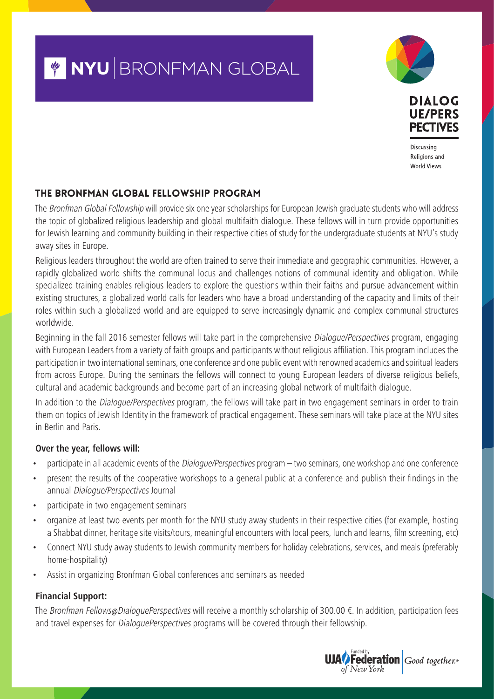# Y NYU BRONFMAN GLOBAL





Discussing Religions and **World Views** 

#### The Bronfman Global Fellowship Program

The Bronfman Global Fellowship will provide six one year scholarships for European Jewish graduate students who will address the topic of globalized religious leadership and global multifaith dialogue. These fellows will in turn provide opportunities for Jewish learning and community building in their respective cities of study for the undergraduate students at NYU's study away sites in Europe.

Religious leaders throughout the world are often trained to serve their immediate and geographic communities. However, a rapidly globalized world shifts the communal locus and challenges notions of communal identity and obligation. While specialized training enables religious leaders to explore the questions within their faiths and pursue advancement within existing structures, a globalized world calls for leaders who have a broad understanding of the capacity and limits of their roles within such a globalized world and are equipped to serve increasingly dynamic and complex communal structures worldwide.

Beginning in the fall 2016 semester fellows will take part in the comprehensive Dialogue/Perspectives program, engaging with European Leaders from a variety of faith groups and participants without religious affiliation. This program includes the participation in two international seminars, one conference and one public event with renowned academics and spiritual leaders from across Europe. During the seminars the fellows will connect to young European leaders of diverse religious beliefs, cultural and academic backgrounds and become part of an increasing global network of multifaith dialogue.

In addition to the *Dialogue/Perspectives* program, the fellows will take part in two engagement seminars in order to train them on topics of Jewish Identity in the framework of practical engagement. These seminars will take place at the NYU sites in Berlin and Paris.

#### **Over the year, fellows will:**

- participate in all academic events of the Dialogue/Perspectives program two seminars, one workshop and one conference
- present the results of the cooperative workshops to a general public at a conference and publish their findings in the annual Dialogue/Perspectives Journal
- participate in two engagement seminars
- organize at least two events per month for the NYU study away students in their respective cities (for example, hosting a Shabbat dinner, heritage site visits/tours, meaningful encounters with local peers, lunch and learns, film screening, etc)
- Connect NYU study away students to Jewish community members for holiday celebrations, services, and meals (preferably home-hospitality)
- Assist in organizing Bronfman Global conferences and seminars as needed

#### **Financial Support:**

The Bronfman Fellows@DialoguePerspectives will receive a monthly scholarship of 300.00  $\epsilon$ . In addition, participation fees and travel expenses for *DialoguePerspectives* programs will be covered through their fellowship.

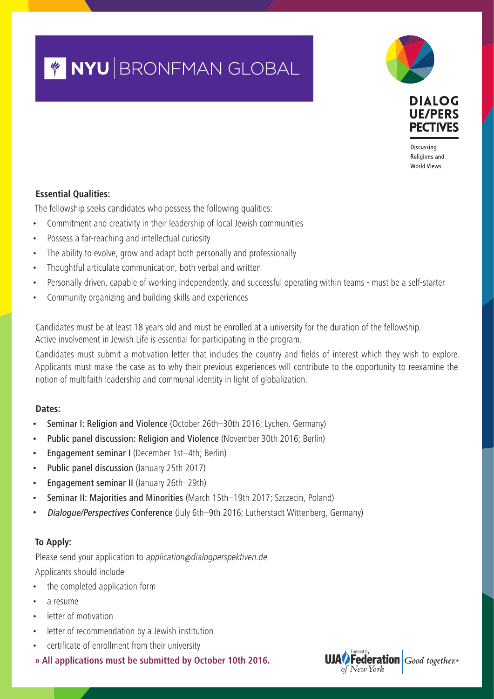# Y NYU BRONFMAN GLOBAL





Discussing Religions and **World Views** 

#### **Essential Qualities:**

The fellowship seeks candidates who possess the following qualities:

- Commitment and creativity in their leadership of local Jewish communities
- Possess a far-reaching and intellectual curiosity
- The ability to evolve, grow and adapt both personally and professionally
- Thoughtful articulate communication, both verbal and written
- Personally driven, capable of working independently, and successful operating within teams must be a self-starter
- Community organizing and building skills and experiences

Candidates must be at least 18 years old and must be enrolled at a university for the duration of the fellowship. Active involvement in Jewish Life is essential for participating in the program.

Candidates must submit a motivation letter that includes the country and fields of interest which they wish to explore. Applicants must make the case as to why their previous experiences will contribute to the opportunity to reexamine the notion of multifaith leadership and communal identity in light of globalization.

#### **Dates:**

- Seminar I: Religion and Violence (October 26th–30th 2016; Lychen, Germany)
- Public panel discussion: Religion and Violence (November 30th 2016; Berlin)
- Engagement seminar I (December 1st-4th; Berlin)
- Public panel discussion (January 25th 2017)
- Engagement seminar II (January 26th–29th)
- Seminar II: Majorities and Minorities (March 15th–19th 2017; Szczecin, Poland)
- Dialogue/Perspectives Conference (July 6th–9th 2016; Lutherstadt Wittenberg, Germany)

#### **To Apply:**

Please send your application to application@dialogperspektiven.de Applicants should include

- the completed application form
- a resume
- letter of motivation
- letter of recommendation by a Jewish institution
- certificate of enrollment from their university

**» All applications must be submitted by October 10th 2016.**